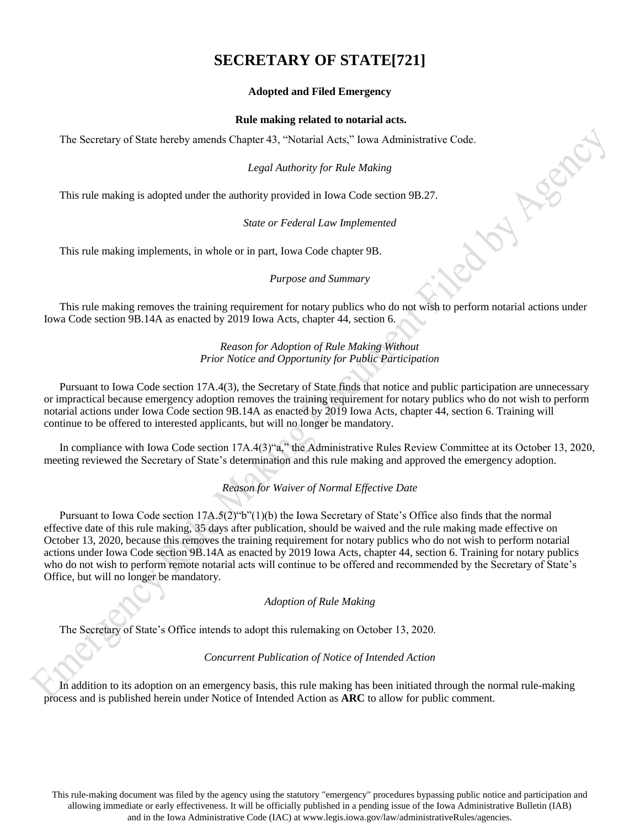# **SECRETARY OF STATE[721]**

# **Adopted and Filed Emergency**

## **Rule making related to notarial acts.**

The Secretary of State hereby amends Chapter 43, "Notarial Acts," Iowa Administrative Code.<br> *Legal Authority for Rule Making*<br>
This rule making is adopted under the authority provided in Iowa Code section 9B.27.<br> *State* 

# *Legal Authority for Rule Making*

This rule making is adopted under the authority provided in Iowa Code section 9B.27.

# *State or Federal Law Implemented*

This rule making implements, in whole or in part, Iowa Code chapter 9B.

## *Purpose and Summary*

This rule making removes the training requirement for notary publics who do not wish to perform notarial actions under Iowa Code section 9B.14A as enacted by 2019 Iowa Acts, chapter 44, section 6.

## *Reason for Adoption of Rule Making Without Prior Notice and Opportunity for Public Participation*

Pursuant to Iowa Code section 17A.4(3), the Secretary of State finds that notice and public participation are unnecessary or impractical because emergency adoption removes the training requirement for notary publics who do not wish to perform notarial actions under Iowa Code section 9B.14A as enacted by 2019 Iowa Acts, chapter 44, section 6. Training will continue to be offered to interested applicants, but will no longer be mandatory.

In compliance with Iowa Code section 17A.4(3)"a," the Administrative Rules Review Committee at its October 13, 2020, meeting reviewed the Secretary of State's determination and this rule making and approved the emergency adoption.

*Reason for Waiver of Normal Effective Date*

Pursuant to Iowa Code section 17A.5(2)"b"(1)(b) the Iowa Secretary of State's Office also finds that the normal effective date of this rule making, 35 days after publication, should be waived and the rule making made effective on October 13, 2020, because this removes the training requirement for notary publics who do not wish to perform notarial actions under Iowa Code section 9B.14A as enacted by 2019 Iowa Acts, chapter 44, section 6. Training for notary publics who do not wish to perform remote notarial acts will continue to be offered and recommended by the Secretary of State's Office, but will no longer be mandatory.

## *Adoption of Rule Making*

The Secretary of State's Office intends to adopt this rulemaking on October 13, 2020.

# *Concurrent Publication of Notice of Intended Action*

In addition to its adoption on an emergency basis, this rule making has been initiated through the normal rule-making process and is published herein under Notice of Intended Action as **ARC** to allow for public comment.

This rule-making document was filed by the agency using the statutory "emergency" procedures bypassing public notice and participation and allowing immediate or early effectiveness. It will be officially published in a pending issue of the Iowa Administrative Bulletin (IAB) and in the Iowa Administrative Code (IAC) at www.legis.iowa.gov/law/administrativeRules/agencies.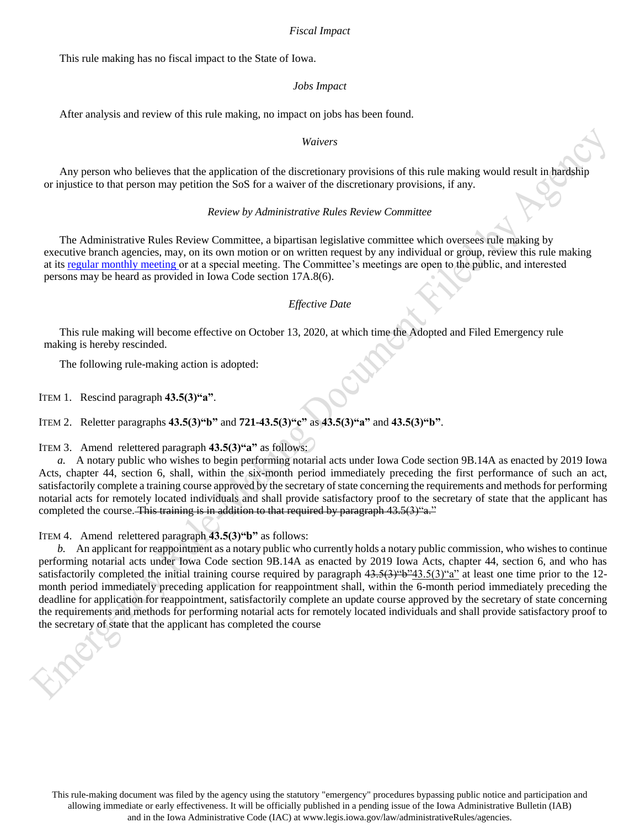### *Fiscal Impact*

This rule making has no fiscal impact to the State of Iowa.

#### *Jobs Impact*

After analysis and review of this rule making, no impact on jobs has been found.

#### *Waivers*

Any person who believes that the application of the discretionary provisions of this rule making would result in hardship or injustice to that person may petition the SoS for a waiver of the discretionary provisions, if any.

#### *Review by Administrative Rules Review Committee*

The Administrative Rules Review Committee, a bipartisan legislative committee which oversees rule making by executive branch agencies, may, on its own motion or on written request by any individual or group, review this rule making at it[s regular monthly meeting o](https://www.legis.iowa.gov/committees/meetings/meetingsListComm?groupID=705&ga=88)r at a special meeting. The Committee's meetings are open to the public, and interested persons may be heard as provided in Iowa Code section 17A.8(6).

#### *Effective Date*

This rule making will become effective on October 13, 2020, at which time the Adopted and Filed Emergency rule making is hereby rescinded.

The following rule-making action is adopted:

ITEM 1. Rescind paragraph **43.5(3)"a"**.

ITEM 2. Reletter paragraphs **43.5(3)"b"** and **721-43.5(3)"c"** as **43.5(3)"a"** and **43.5(3)"b"**.

ITEM 3. Amend relettered paragraph **43.5(3)"a"** as follows:

*a.* A notary public who wishes to begin performing notarial acts under Iowa Code section 9B.14A as enacted by 2019 Iowa Acts, chapter 44, section 6, shall, within the six-month period immediately preceding the first performance of such an act, satisfactorily complete a training course approved by the secretary of state concerning the requirements and methods for performing notarial acts for remotely located individuals and shall provide satisfactory proof to the secretary of state that the applicant has completed the course. This training is in addition to that required by paragraph  $43.5(3)$ "a."

ITEM 4. Amend relettered paragraph **43.5(3)"b"** as follows:

*b.* An applicant for reappointment as a notary public who currently holds a notary public commission, who wishes to continue performing notarial acts under Iowa Code section 9B.14A as enacted by 2019 Iowa Acts, chapter 44, section 6, and who has satisfactorily completed the initial training course required by paragraph  $43.5(3)$ "b" $43.5(3)$ "a" at least one time prior to the 12month period immediately preceding application for reappointment shall, within the 6-month period immediately preceding the deadline for application for reappointment, satisfactorily complete an update course approved by the secretary of state concerning the requirements and methods for performing notarial acts for remotely located individuals and shall provide satisfactory proof to the secretary of state that the applicant has completed the course